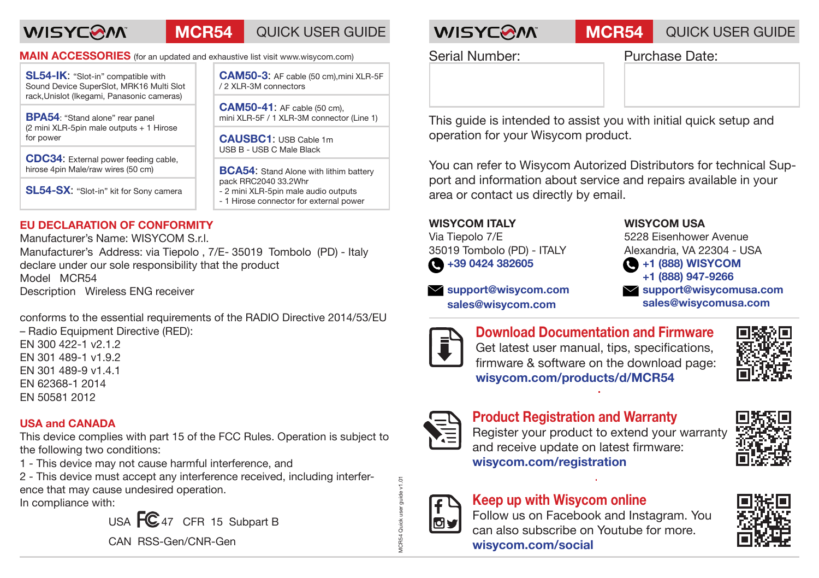# **WISYCOM**

## **MCR54** QUICK USER GUIDE **WISYCOM MCR54** QUICK USER GUIDE

**MAIN ACCESSORIES** (for an updated and exhaustive list visit www.wisycom.com)

**SL54-IK**: "Slot-in" compatible with Sound Device SuperSlot, MRK16 Multi Slot rack,Unislot (Ikegami, Panasonic cameras)

**BPA54**: "Stand alone" rear panel (2 mini XLR-5pin male outputs + 1 Hirose for power

**CDC34**: External power feeding cable, hirose 4pin Male/raw wires (50 cm)

**SL54-SX**: "Slot-in" kit for Sony camera

**EU DECLARATION OF CONFORMITY**

Manufacturer's Name: WISYCOM S.r.l. Manufacturer's Address: via Tiepolo , 7/E- 35019 Tombolo (PD) - Italy declare under our sole responsibility that the product Model MCR54 Description Wireless ENG receiver

conforms to the essential requirements of the RADIO Directive 2014/53/EU

– Radio Equipment Directive (RED): EN 300 422-1 v2.1.2 EN 301 489-1 v1.9.2 EN 301 489-9 v1.4.1 EN 62368-1 2014 EN 50581 2012

#### **USA and CANADA**

This device complies with part 15 of the FCC Rules. Operation is subject to the following two conditions:

1 - This device may not cause harmful interference, and

2 - This device must accept any interference received, including interference that may cause undesired operation.

In compliance with:

USA  $FC_{47}$  CFR 15 Subpart B

CAN RSS-Gen/CNR-Gen

**CAM50-3**: AF cable (50 cm),mini XLR-5F / 2 XLR-3M connectors

**CAM50-41**: AF cable (50 cm), mini XLR-5F / 1 XLR-3M connector (Line 1)

**CAUSBC1**: USB Cable 1m USB B - USB C Male Black

**BCA54:** Stand Alone with lithim battery pack RRC2040 33.2Whr - 2 mini XLR-5pin male audio outputs - 1 Hirose connector for external power

Serial Number: Purchase Date:

This guide is intended to assist you with initial quick setup and operation for your Wisycom product.

You can refer to Wisycom Autorized Distributors for technical Support and information about service and repairs available in your area or contact us directly by email.

#### **WISYCOM ITALY**

Via Tiepolo 7/E 35019 Tombolo (PD) - ITALY  $\bigcirc$  +39 0424 382605

 **support@wisycom.com sales@wisycom.com**

#### **WISYCOM USA**

5228 Eisenhower Avenue Alexandria, VA 22304 - USA **+1 (888) WISYCOM**

 **+1 (888) 947-9266**

 **support@wisycomusa.com sales@wisycomusa.com**



**Download Documentation and Firmware** Get latest user manual, tips, specifications, firmware & software on the download page: **wisycom.com/products/d/MCR54**





### **Product Registration and Warranty**

Register your product to extend your warranty and receive update on latest firmware: **wisycom.com/registration**





MCR54 Quick user guide v1.01

### **Keep up with Wisycom online**

Follow us on Facebook and Instagram. You can also subscribe on Youtube for more. **wisycom.com/social**